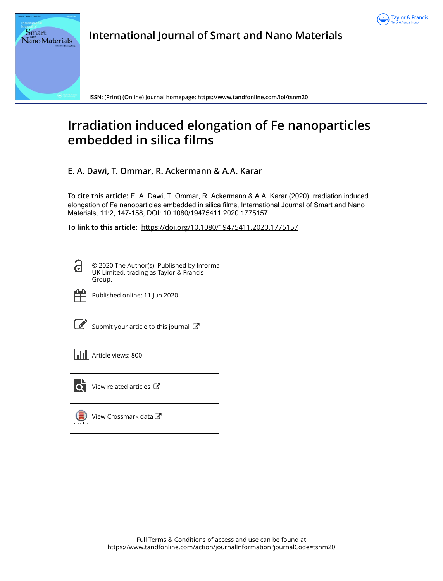

**International Journal of Smart and Nano Materials**

**ISSN: (Print) (Online) Journal homepage: https://www.tandfonline.com/loi/tsnm20**

# **Irradiation induced elongation of Fe nanoparticles embedded in silica films**

**E. A. Dawi, T. Ommar, R. Ackermann & A.A. Karar**

**To cite this article:** E. A. Dawi, T. Ommar, R. Ackermann & A.A. Karar (2020) Irradiation induced elongation of Fe nanoparticles embedded in silica films, International Journal of Smart and Nano Materials, 11:2, 147-158, DOI: 10.1080/19475411.2020.1775157

**To link to this article:** https://doi.org/10.1080/19475411.2020.1775157

© 2020 The Author(s). Published by Informa UK Limited, trading as Taylor & Francis Group.



ദ

**Smart** Nano Materials

Published online: 11 Jun 2020.

Submit your article to this journal  $\mathbb{Z}$ 

**Article views: 800** 



 $\bullet$  View related articles  $\bullet$ 

View Crossmark data  $\sigma$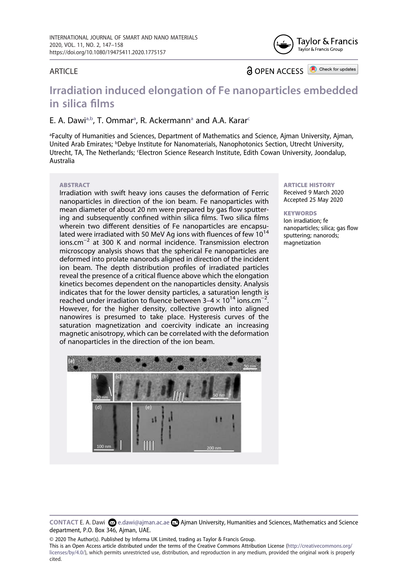

#### **ARTICLE**

**a** OPEN ACCESS

Check for updates

## **Irradiation induced elongation of Fe nanoparticles embedded in silica films**

### E. A. D[a](#page-1-0)wi<sup>a[,b](#page-1-1)</sup>, T. Ommar<sup>a</sup>, R. A[c](#page-1-2)kermann<sup>a</sup> and A.A. Karar<sup>c</sup>

<span id="page-1-2"></span><span id="page-1-1"></span><span id="page-1-0"></span>a Faculty of Humanities and Sciences, Department of Mathematics and Science, Ajman University, Ajman, United Arab Emirates; <sup>b</sup>Debye Institute for Nanomaterials, Nanophotonics Section, Utrecht University, Utrecht, TA, The Netherlands; 'Electron Science Research Institute, Edith Cowan University, Joondalup, Australia

#### **ARSTRACT**

Irradiation with swift heavy ions causes the deformation of Ferric nanoparticles in direction of the ion beam. Fe nanoparticles with mean diameter of about 20 nm were prepared by gas flow sputtering and subsequently confined within silica films. Two silica films wherein two different densities of Fe nanoparticles are encapsulated were irradiated with 50 MeV Ag ions with fluences of few 10<sup>14</sup> ions.cm−2 at 300 K and normal incidence. Transmission electron microscopy analysis shows that the spherical Fe nanoparticles are deformed into prolate nanorods aligned in direction of the incident ion beam. The depth distribution profiles of irradiated particles reveal the presence of a critical fluence above which the elongation kinetics becomes dependent on the nanoparticles density. Analysis indicates that for the lower density particles, a saturation length is reached under irradiation to fluence between  $3-4 \times 10^{14}$  ions.cm<sup>-2</sup>. However, for the higher density, collective growth into aligned nanowires is presumed to take place. Hysteresis curves of the saturation magnetization and coercivity indicate an increasing magnetic anisotropy, which can be correlated with the deformation of nanoparticles in the direction of the ion beam.



#### ARTICLE HISTORY Received 9 March 2020 Accepted 25 May 2020

**KEYWORDS** Ion irradiation; fe nanoparticles; silica; gas flow sputtering; nanorods; magnetization

© 2020 The Author(s). Published by Informa UK Limited, trading as Taylor & Francis Group.

This is an Open Access article distributed under the terms of the Creative Commons Attribution License (http://creativecommons.org/ licenses/by/4.0/), which permits unrestricted use, distribution, and reproduction in any medium, provided the original work is properly cited.

**CONTACT E. A. Dawi**  $\Omega$  **e.dawi@ajman.ac.ae <b>A** Ajman University, Humanities and Sciences, Mathematics and Science department, P.O. Box 346, Ajman, UAE.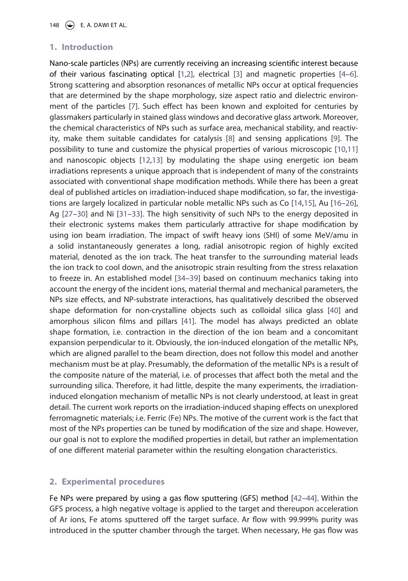## **1. Introduction**

<span id="page-2-6"></span><span id="page-2-5"></span><span id="page-2-4"></span><span id="page-2-3"></span><span id="page-2-2"></span><span id="page-2-1"></span><span id="page-2-0"></span>Nano-scale particles (NPs) are currently receiving an increasing scientific interest because of their various fascinating optical [\[1](#page-10-0),[2\]](#page-10-1), electrical [\[3](#page-10-2)] and magnetic properties [\[4](#page-10-3)[–6](#page-11-0)]. Strong scattering and absorption resonances of metallic NPs occur at optical frequencies that are determined by the shape morphology, size aspect ratio and dielectric environment of the particles [[7\]](#page-11-1). Such effect has been known and exploited for centuries by glassmakers particularly in stained glass windows and decorative glass artwork. Moreover, the chemical characteristics of NPs such as surface area, mechanical stability, and reactivity, make them suitable candidates for catalysis [\[8](#page-11-2)] and sensing applications [\[9](#page-11-3)]. The possibility to tune and customize the physical properties of various microscopic [[10](#page-11-4)[,11](#page-11-5)] and nanoscopic objects [\[12,](#page-11-6)[13](#page-11-7)] by modulating the shape using energetic ion beam irradiations represents a unique approach that is independent of many of the constraints associated with conventional shape modification methods. While there has been a great deal of published articles on irradiation-induced shape modification, so far, the investigations are largely localized in particular noble metallic NPs such as Co [\[14](#page-11-8),[15\]](#page-11-9), Au [[16](#page-11-10)[–26](#page-11-11)], Ag [[27](#page-11-12)[–30](#page-12-0)] and Ni [\[31](#page-12-1)[–33\]](#page-12-2). The high sensitivity of such NPs to the energy deposited in their electronic systems makes them particularly attractive for shape modification by using ion beam irradiation. The impact of swift heavy ions (SHI) of some MeV/amu in a solid instantaneously generates a long, radial anisotropic region of highly excited material, denoted as the ion track. The heat transfer to the surrounding material leads the ion track to cool down, and the anisotropic strain resulting from the stress relaxation to freeze in. An established model [\[34](#page-12-3)[–39\]](#page-12-4) based on continuum mechanics taking into account the energy of the incident ions, material thermal and mechanical parameters, the NPs size effects, and NP-substrate interactions, has qualitatively described the observed shape deformation for non-crystalline objects such as colloidal silica glass [\[40](#page-12-5)] and amorphous silicon films and pillars [\[41](#page-12-6)]. The model has always predicted an oblate shape formation, i.e. contraction in the direction of the ion beam and a concomitant expansion perpendicular to it. Obviously, the ion-induced elongation of the metallic NPs, which are aligned parallel to the beam direction, does not follow this model and another mechanism must be at play. Presumably, the deformation of the metallic NPs is a result of the composite nature of the material, i.e. of processes that affect both the metal and the surrounding silica. Therefore, it had little, despite the many experiments, the irradiationinduced elongation mechanism of metallic NPs is not clearly understood, at least in great detail. The current work reports on the irradiation-induced shaping effects on unexplored ferromagnetic materials; i.e. Ferric (Fe) NPs. The motive of the current work is the fact that most of the NPs properties can be tuned by modification of the size and shape. However, our goal is not to explore the modified properties in detail, but rather an implementation of one different material parameter within the resulting elongation characteristics.

## <span id="page-2-9"></span><span id="page-2-8"></span><span id="page-2-7"></span>**2. Experimental procedures**

<span id="page-2-10"></span>Fe NPs were prepared by using a gas flow sputtering (GFS) method [\[42](#page-12-7)[–44\]](#page-12-8). Within the GFS process, a high negative voltage is applied to the target and thereupon acceleration of Ar ions, Fe atoms sputtered off the target surface. Ar flow with 99.999% purity was introduced in the sputter chamber through the target. When necessary, He gas flow was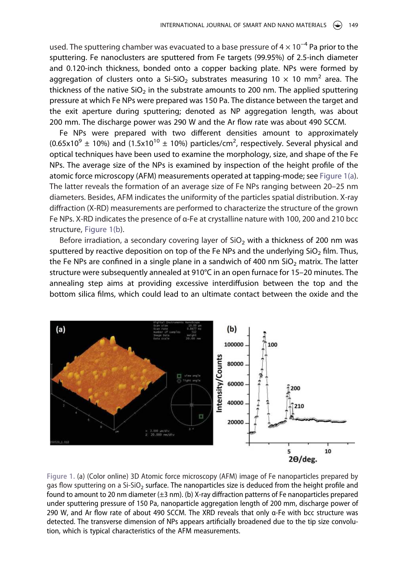used. The sputtering chamber was evacuated to a base pressure of  $4 \times 10^{-4}$  Pa prior to the sputtering. Fe nanoclusters are sputtered from Fe targets (99.95%) of 2.5-inch diameter and 0.120-inch thickness, bonded onto a copper backing plate. NPs were formed by aggregation of clusters onto a Si-SiO<sub>2</sub> substrates measuring 10  $\times$  10 mm<sup>2</sup> area. The thickness of the native  $SiO<sub>2</sub>$  in the substrate amounts to 200 nm. The applied sputtering pressure at which Fe NPs were prepared was 150 Pa. The distance between the target and the exit aperture during sputtering; denoted as NP aggregation length, was about 200 mm. The discharge power was 290 W and the Ar flow rate was about 490 SCCM.

Fe NPs were prepared with two different densities amount to approximately  $(0.65x10<sup>9</sup> \pm 10%)$  and  $(1.5x10<sup>10</sup> \pm 10%)$  particles/cm<sup>2</sup>, respectively. Several physical and optical techniques have been used to examine the morphology, size, and shape of the Fe NPs. The average size of the NPs is examined by inspection of the height profile of the atomic force microscopy (AFM) measurements operated at tapping-mode; see [Figure 1\(a](#page-3-0)). The latter reveals the formation of an average size of Fe NPs ranging between 20–25 nm diameters. Besides, AFM indicates the uniformity of the particles spatial distribution. X-ray diffraction (X-RD) measurements are performed to characterize the structure of the grown Fe NPs. X-RD indicates the presence of α-Fe at crystalline nature with 100, 200 and 210 bcc structure, [Figure 1\(b\)](#page-3-0).

Before irradiation, a secondary covering layer of  $SiO<sub>2</sub>$  with a thickness of 200 nm was sputtered by reactive deposition on top of the Fe NPs and the underlying SiO<sub>2</sub> film. Thus, the Fe NPs are confined in a single plane in a sandwich of 400 nm  $SiO<sub>2</sub>$  matrix. The latter structure were subsequently annealed at 910°C in an open furnace for 15–20 minutes. The annealing step aims at providing excessive interdiffusion between the top and the bottom silica films, which could lead to an ultimate contact between the oxide and the

<span id="page-3-0"></span>

**Figure 1.** (a) (Color online) 3D Atomic force microscopy (AFM) image of Fe nanoparticles prepared by gas flow sputtering on a Si-SiO<sub>2</sub> surface. The nanoparticles size is deduced from the height profile and found to amount to 20 nm diameter  $(\pm 3 \text{ nm})$ . (b) X-ray diffraction patterns of Fe nanoparticles prepared under sputtering pressure of 150 Pa, nanoparticle aggregation length of 200 mm, discharge power of 290 W, and Ar flow rate of about 490 SCCM. The XRD reveals that only α-Fe with bcc structure was detected. The transverse dimension of NPs appears artificially broadened due to the tip size convolution, which is typical characteristics of the AFM measurements.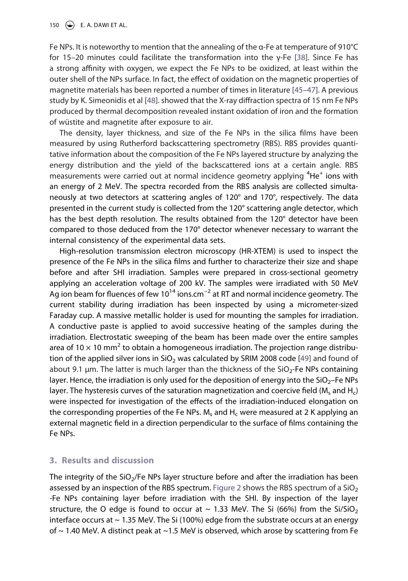150  $\left(\rightarrow\right)$  E. A. DAWI ET AL.

<span id="page-4-1"></span><span id="page-4-0"></span>Fe NPs. It is noteworthy to mention that the annealing of the α-Fe at temperature of 910°C for 15–20 minutes could facilitate the transformation into the γ-Fe [\[38](#page-12-9)]. Since Fe has a strong affinity with oxygen, we expect the Fe NPs to be oxidized, at least within the outer shell of the NPs surface. In fact, the effect of oxidation on the magnetic properties of magnetite materials has been reported a number of times in literature [\[45](#page-12-10)[–47\]](#page-12-11). A previous study by K. Simeonidis et al [[48](#page-12-12)]. showed that the X-ray diffraction spectra of 15 nm Fe NPs produced by thermal decomposition revealed instant oxidation of iron and the formation of wüstite and magnetite after exposure to air.

<span id="page-4-2"></span>The density, layer thickness, and size of the Fe NPs in the silica films have been measured by using Rutherford backscattering spectrometry (RBS). RBS provides quantitative information about the composition of the Fe NPs layered structure by analyzing the energy distribution and the yield of the backscattered ions at a certain angle. RBS measurements were carried out at normal incidence geometry applying  ${}^{4}$ He<sup>+</sup> ions with an energy of 2 MeV. The spectra recorded from the RBS analysis are collected simultaneously at two detectors at scattering angles of 120° and 170°, respectively. The data presented in the current study is collected from the 120° scattering angle detector, which has the best depth resolution. The results obtained from the 120° detector have been compared to those deduced from the 170° detector whenever necessary to warrant the internal consistency of the experimental data sets.

<span id="page-4-3"></span>High-resolution transmission electron microscopy (HR-XTEM) is used to inspect the presence of the Fe NPs in the silica films and further to characterize their size and shape before and after SHI irradiation. Samples were prepared in cross-sectional geometry applying an acceleration voltage of 200 kV. The samples were irradiated with 50 MeV Ag ion beam for fluences of few 10<sup>14</sup> ions.cm<sup>-2</sup> at RT and normal incidence geometry. The current stability during irradiation has been inspected by using a micrometer-sized Faraday cup. A massive metallic holder is used for mounting the samples for irradiation. A conductive paste is applied to avoid successive heating of the samples during the irradiation. Electrostatic sweeping of the beam has been made over the entire samples area of 10  $\times$  10 mm<sup>2</sup> to obtain a homogeneous irradiation. The projection range distribu-tion of the applied silver ions in SiO<sub>2</sub> was calculated by SRIM 2008 code [\[49\]](#page-12-13) and found of about 9.1  $\mu$ m. The latter is much larger than the thickness of the SiO<sub>2</sub>-Fe NPs containing layer. Hence, the irradiation is only used for the deposition of energy into the  $SiO<sub>2</sub>$ -Fe NPs layer. The hysteresis curves of the saturation magnetization and coercive field (M<sub>s</sub> and H<sub>c</sub>) were inspected for investigation of the effects of the irradiation-induced elongation on the corresponding properties of the Fe NPs.  $M_s$  and  $H_c$  were measured at 2 K applying an external magnetic field in a direction perpendicular to the surface of films containing the Fe NPs.

#### **3. Results and discussion**

The integrity of the SiO<sub>2</sub>/Fe NPs layer structure before and after the irradiation has been assessed by an inspection of the RBS spectrum. [Figure 2](#page-5-0) shows the RBS spectrum of a  $SiO<sub>2</sub>$ -Fe NPs containing layer before irradiation with the SHI. By inspection of the layer structure, the O edge is found to occur at  $\sim$  1.33 MeV. The Si (66%) from the Si/SiO<sub>2</sub> interface occurs at  $\sim$  1.35 MeV. The Si (100%) edge from the substrate occurs at an energy of  $\sim$  1.40 MeV. A distinct peak at  $\sim$  1.5 MeV is observed, which arose by scattering from Fe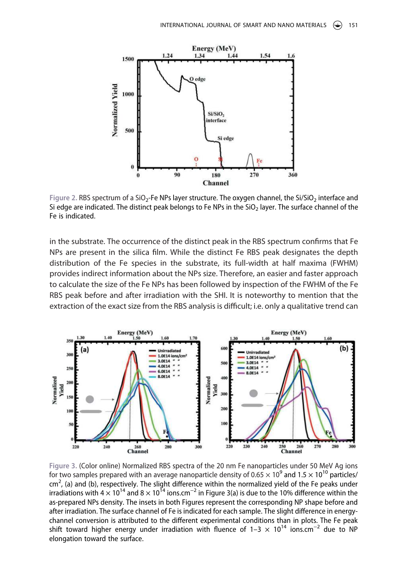<span id="page-5-0"></span>

Figure 2. RBS spectrum of a SiO<sub>2</sub>-Fe NPs layer structure. The oxygen channel, the Si/SiO<sub>2</sub> interface and Si edge are indicated. The distinct peak belongs to Fe NPs in the SiO<sub>2</sub> layer. The surface channel of the Fe is indicated.

in the substrate. The occurrence of the distinct peak in the RBS spectrum confirms that Fe NPs are present in the silica film. While the distinct Fe RBS peak designates the depth distribution of the Fe species in the substrate, its full-width at half maxima (FWHM) provides indirect information about the NPs size. Therefore, an easier and faster approach to calculate the size of the Fe NPs has been followed by inspection of the FWHM of the Fe RBS peak before and after irradiation with the SHI. It is noteworthy to mention that the extraction of the exact size from the RBS analysis is difficult; i.e. only a qualitative trend can

<span id="page-5-1"></span>

**Figure 3.** (Color online) Normalized RBS spectra of the 20 nm Fe nanoparticles under 50 MeV Ag ions for two samples prepared with an average nanoparticle density of 0.65  $\times$  10<sup>9</sup> and 1.5  $\times$  10<sup>10</sup> particles/ cm<sup>2</sup>, (a) and (b), respectively. The slight difference within the normalized yield of the Fe peaks under irradiations with 4  $\times$  10<sup>14</sup> and 8  $\times$  10<sup>14</sup> ions.cm<sup>-2</sup> in Figure 3(a) is due to the 10% difference within the as-prepared NPs density. The insets in both Figures represent the corresponding NP shape before and after irradiation. The surface channel of Fe is indicated for each sample. The slight difference in energychannel conversion is attributed to the different experimental conditions than in plots. The Fe peak shift toward higher energy under irradiation with fluence of  $1-3 \times 10^{14}$  ions.cm<sup>-2</sup> due to NP elongation toward the surface.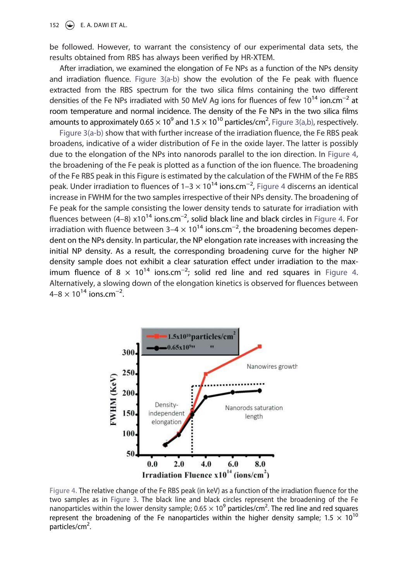be followed. However, to warrant the consistency of our experimental data sets, the results obtained from RBS has always been verified by HR-XTEM.

After irradiation, we examined the elongation of Fe NPs as a function of the NPs density and irradiation fluence. [Figure 3\(a-b\)](#page-5-1) show the evolution of the Fe peak with fluence extracted from the RBS spectrum for the two silica films containing the two different densities of the Fe NPs irradiated with 50 MeV Ag ions for fluences of few 10<sup>14</sup> ion.cm<sup>-2</sup> at room temperature and normal incidence. The density of the Fe NPs in the two silica films amounts to approximately 0.65  $\times$  10<sup>9</sup> and 1.5  $\times$  10<sup>10</sup> particles/cm<sup>2</sup>, [Figure 3\(a,b\)](#page-5-1), respectively.

[Figure 3\(a-b\)](#page-5-1) show that with further increase of the irradiation fluence, the Fe RBS peak broadens, indicative of a wider distribution of Fe in the oxide layer. The latter is possibly due to the elongation of the NPs into nanorods parallel to the ion direction. In [Figure 4](#page-6-0), the broadening of the Fe peak is plotted as a function of the ion fluence. The broadening of the Fe RBS peak in this Figure is estimated by the calculation of the FWHM of the Fe RBS peak. Under irradiation to fluences of 1–3  $\times$  10<sup>14</sup> ions.cm<sup>-2</sup>, [Figure 4](#page-6-0) discerns an identical increase in FWHM for the two samples irrespective of their NPs density. The broadening of Fe peak for the sample consisting the lower density tends to saturate for irradiation with fluences between (4–8)  $\times 10^{14}$  ions.cm<sup>-2</sup>, solid black line and black circles in [Figure 4.](#page-6-0) For irradiation with fluence between  $3-4 \times 10^{14}$  ions.cm<sup>-2</sup>, the broadening becomes dependent on the NPs density. In particular, the NP elongation rate increases with increasing the initial NP density. As a result, the corresponding broadening curve for the higher NP density sample does not exhibit a clear saturation effect under irradiation to the maximum fluence of 8  $\times$  10<sup>14</sup> ions.cm<sup>-2</sup>; solid red line and red squares in [Figure 4](#page-6-0). Alternatively, a slowing down of the elongation kinetics is observed for fluences between  $4 - 8 \times 10^{14}$  ions.cm<sup>-2</sup>.

<span id="page-6-0"></span>

**Figure 4.** The relative change of the Fe RBS peak (in keV) as a function of the irradiation fluence for the two samples as in [Figure 3.](#page-5-1) The black line and black circles represent the broadening of the Fe nanoparticles within the lower density sample;  $0.65 \times 10^9$  particles/cm<sup>2</sup>. The red line and red squares represent the broadening of the Fe nanoparticles within the higher density sample;  $1.5 \times 10^{10}$ particles/cm<sup>2</sup>.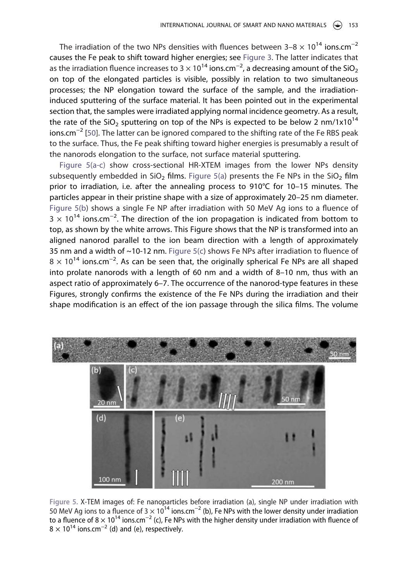The irradiation of the two NPs densities with fluences between  $3-8 \times 10^{14}$  ions.cm<sup>-2</sup> causes the Fe peak to shift toward higher energies; see [Figure 3](#page-5-1). The latter indicates that as the irradiation fluence increases to 3  $\times$  10<sup>14</sup> ions.cm<sup>-2</sup>, a decreasing amount of the SiO<sub>2</sub> on top of the elongated particles is visible, possibly in relation to two simultaneous processes; the NP elongation toward the surface of the sample, and the irradiationinduced sputtering of the surface material. It has been pointed out in the experimental section that, the samples were irradiated applying normal incidence geometry. As a result, the rate of the SiO<sub>2</sub> sputtering on top of the NPs is expected to be below 2 nm/1x10<sup>14</sup> ions.cm−2 [[50\]](#page-12-14). The latter can be ignored compared to the shifting rate of the Fe RBS peak to the surface. Thus, the Fe peak shifting toward higher energies is presumably a result of the nanorods elongation to the surface, not surface material sputtering.

<span id="page-7-1"></span>[Figure 5\(a-c\)](#page-7-0) show cross-sectional HR-XTEM images from the lower NPs density subsequently embedded in  $SiO<sub>2</sub>$  films. [Figure 5\(a](#page-7-0)) presents the Fe NPs in the SiO<sub>2</sub> film prior to irradiation, i.e. after the annealing process to 910°C for 10–15 minutes. The particles appear in their pristine shape with a size of approximately 20–25 nm diameter. [Figure 5\(b](#page-7-0)) shows a single Fe NP after irradiation with 50 MeV Ag ions to a fluence of  $3 \times 10^{14}$  ions.cm<sup>-2</sup>. The direction of the ion propagation is indicated from bottom to top, as shown by the white arrows. This Figure shows that the NP is transformed into an aligned nanorod parallel to the ion beam direction with a length of approximately 35 nm and a width of  $\sim$ 10-12 nm. Figure  $5(c)$  shows Fe NPs after irradiation to fluence of  $8 \times 10^{14}$  ions.cm<sup>-2</sup>. As can be seen that, the originally spherical Fe NPs are all shaped into prolate nanorods with a length of 60 nm and a width of 8–10 nm, thus with an aspect ratio of approximately 6–7. The occurrence of the nanorod-type features in these Figures, strongly confirms the existence of the Fe NPs during the irradiation and their shape modification is an effect of the ion passage through the silica films. The volume

<span id="page-7-0"></span>

**Figure 5.** X-TEM images of: Fe nanoparticles before irradiation (a), single NP under irradiation with 50 MeV Ag ions to a fluence of 3  $\times$  10<sup>14</sup> ions.cm<sup>-2</sup> (b), Fe NPs with the lower density under irradiation to a fluence of 8  $\times$  10<sup>14</sup> ions.cm<sup>-2</sup> (c), Fe NPs with the higher density under irradiation with fluence of  $8 \times 10^{14}$  ions.cm<sup>-2</sup> (d) and (e), respectively.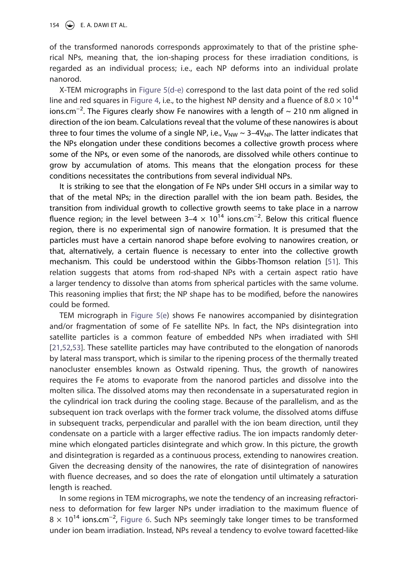of the transformed nanorods corresponds approximately to that of the pristine spherical NPs, meaning that, the ion-shaping process for these irradiation conditions, is regarded as an individual process; i.e., each NP deforms into an individual prolate nanorod.

X-TEM micrographs in [Figure 5\(d-e\)](#page-7-0) correspond to the last data point of the red solid line and red squares in [Figure 4](#page-6-0), i.e., to the highest NP density and a fluence of 8.0  $\times$  10<sup>14</sup> ions.cm<sup>-2</sup>. The Figures clearly show Fe nanowires with a length of  $\sim$  210 nm aligned in direction of the ion beam. Calculations reveal that the volume of these nanowires is about three to four times the volume of a single NP, i.e.,  $V_{NW} \sim 3-4V_{NP}$ . The latter indicates that the NPs elongation under these conditions becomes a collective growth process where some of the NPs, or even some of the nanorods, are dissolved while others continue to grow by accumulation of atoms. This means that the elongation process for these conditions necessitates the contributions from several individual NPs.

It is striking to see that the elongation of Fe NPs under SHI occurs in a similar way to that of the metal NPs; in the direction parallel with the ion beam path. Besides, the transition from individual growth to collective growth seems to take place in a narrow fluence region; in the level between  $3-4 \times 10^{14}$  ions.cm<sup>-2</sup>. Below this critical fluence region, there is no experimental sign of nanowire formation. It is presumed that the particles must have a certain nanorod shape before evolving to nanowires creation, or that, alternatively, a certain fluence is necessary to enter into the collective growth mechanism. This could be understood within the Gibbs-Thomson relation [\[51\]](#page-12-15). This relation suggests that atoms from rod-shaped NPs with a certain aspect ratio have a larger tendency to dissolve than atoms from spherical particles with the same volume. This reasoning implies that first; the NP shape has to be modified, before the nanowires could be formed.

<span id="page-8-1"></span><span id="page-8-0"></span>TEM micrograph in [Figure 5\(e\)](#page-7-0) shows Fe nanowires accompanied by disintegration and/or fragmentation of some of Fe satellite NPs. In fact, the NPs disintegration into satellite particles is a common feature of embedded NPs when irradiated with SHI [[21](#page-11-13)[,52](#page-12-16)[,53\]](#page-12-17). These satellite particles may have contributed to the elongation of nanorods by lateral mass transport, which is similar to the ripening process of the thermally treated nanocluster ensembles known as Ostwald ripening. Thus, the growth of nanowires requires the Fe atoms to evaporate from the nanorod particles and dissolve into the molten silica. The dissolved atoms may then recondensate in a supersaturated region in the cylindrical ion track during the cooling stage. Because of the parallelism, and as the subsequent ion track overlaps with the former track volume, the dissolved atoms diffuse in subsequent tracks, perpendicular and parallel with the ion beam direction, until they condensate on a particle with a larger effective radius. The ion impacts randomly determine which elongated particles disintegrate and which grow. In this picture, the growth and disintegration is regarded as a continuous process, extending to nanowires creation. Given the decreasing density of the nanowires, the rate of disintegration of nanowires with fluence decreases, and so does the rate of elongation until ultimately a saturation length is reached.

In some regions in TEM micrographs, we note the tendency of an increasing refractoriness to deformation for few larger NPs under irradiation to the maximum fluence of  $8 \times 10^{14}$  ions.cm<sup>-2</sup>, [Figure 6](#page-9-0). Such NPs seemingly take longer times to be transformed under ion beam irradiation. Instead, NPs reveal a tendency to evolve toward facetted-like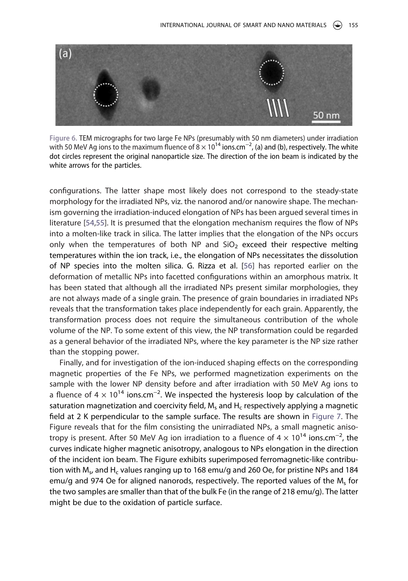<span id="page-9-0"></span>

**Figure 6.** TEM micrographs for two large Fe NPs (presumably with 50 nm diameters) under irradiation with 50 MeV Ag ions to the maximum fluence of  $8 \times 10^{14}$  ions.cm<sup>-2</sup>, (a) and (b), respectively. The white dot circles represent the original nanoparticle size. The direction of the ion beam is indicated by the white arrows for the particles.

<span id="page-9-2"></span><span id="page-9-1"></span>configurations. The latter shape most likely does not correspond to the steady-state morphology for the irradiated NPs, viz. the nanorod and/or nanowire shape. The mechanism governing the irradiation-induced elongation of NPs has been argued several times in literature [[54](#page-12-18)[,55](#page-12-19)]. It is presumed that the elongation mechanism requires the flow of NPs into a molten-like track in silica. The latter implies that the elongation of the NPs occurs only when the temperatures of both NP and  $SiO<sub>2</sub>$  exceed their respective melting temperatures within the ion track, i.e., the elongation of NPs necessitates the dissolution of NP species into the molten silica. G. Rizza et al. [[56](#page-12-20)] has reported earlier on the deformation of metallic NPs into facetted configurations within an amorphous matrix. It has been stated that although all the irradiated NPs present similar morphologies, they are not always made of a single grain. The presence of grain boundaries in irradiated NPs reveals that the transformation takes place independently for each grain. Apparently, the transformation process does not require the simultaneous contribution of the whole volume of the NP. To some extent of this view, the NP transformation could be regarded as a general behavior of the irradiated NPs, where the key parameter is the NP size rather than the stopping power.

Finally, and for investigation of the ion-induced shaping effects on the corresponding magnetic properties of the Fe NPs, we performed magnetization experiments on the sample with the lower NP density before and after irradiation with 50 MeV Ag ions to a fluence of 4  $\times$  10<sup>14</sup> ions.cm<sup>-2</sup>. We inspected the hysteresis loop by calculation of the saturation magnetization and coercivity field,  $M_s$  and  $H_c$  respectively applying a magnetic field at 2 K perpendicular to the sample surface. The results are shown in [Figure 7](#page-10-4). The Figure reveals that for the film consisting the unirradiated NPs, a small magnetic anisotropy is present. After 50 MeV Ag ion irradiation to a fluence of  $4 \times 10^{14}$  ions.cm<sup>-2</sup>, the curves indicate higher magnetic anisotropy, analogous to NPs elongation in the direction of the incident ion beam. The Figure exhibits superimposed ferromagnetic-like contribution with M<sub>s</sub>, and H<sub>c</sub> values ranging up to 168 emu/g and 260 Oe, for pristine NPs and 184 emu/g and 974 Oe for aligned nanorods, respectively. The reported values of the  $M_s$  for the two samples are smaller than that of the bulk Fe (in the range of 218 emu/g). The latter might be due to the oxidation of particle surface.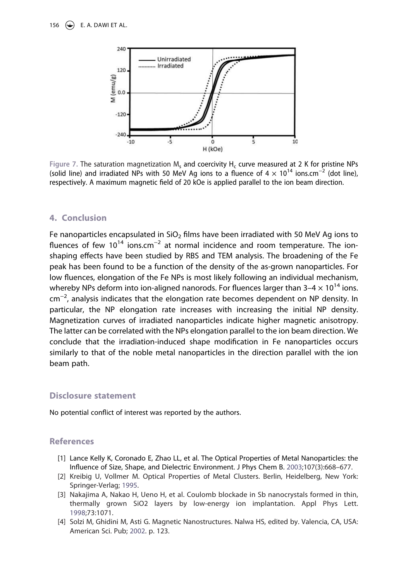<span id="page-10-4"></span>

Figure 7. The saturation magnetization M<sub>s</sub> and coercivity H<sub>c</sub> curve measured at 2 K for pristine NPs (solid line) and irradiated NPs with 50 MeV Ag ions to a fluence of  $4 \times 10^{14}$  ions.cm<sup>-2</sup> (dot line), respectively. A maximum magnetic field of 20 kOe is applied parallel to the ion beam direction.

#### **4. Conclusion**

Fe nanoparticles encapsulated in  $SiO<sub>2</sub>$  films have been irradiated with 50 MeV Ag ions to fluences of few  $10^{14}$  ions.cm<sup>-2</sup> at normal incidence and room temperature. The ionshaping effects have been studied by RBS and TEM analysis. The broadening of the Fe peak has been found to be a function of the density of the as-grown nanoparticles. For low fluences, elongation of the Fe NPs is most likely following an individual mechanism, whereby NPs deform into ion-aligned nanorods. For fluences larger than  $3-4 \times 10^{14}$  ions. cm−2, analysis indicates that the elongation rate becomes dependent on NP density. In particular, the NP elongation rate increases with increasing the initial NP density. Magnetization curves of irradiated nanoparticles indicate higher magnetic anisotropy. The latter can be correlated with the NPs elongation parallel to the ion beam direction. We conclude that the irradiation-induced shape modification in Fe nanoparticles occurs similarly to that of the noble metal nanoparticles in the direction parallel with the ion beam path.

### **Disclosure statement**

No potential conflict of interest was reported by the authors.

### **References**

- <span id="page-10-0"></span>[1] Lance Kelly K, Coronado E, Zhao LL, et al. The Optical Properties of Metal Nanoparticles: the Influence of Size, Shape, and Dielectric Environment. J Phys Chem B. [2003](#page-2-0);107(3):668–677.
- <span id="page-10-1"></span>[2] Kreibig U, Vollmer M. Optical Properties of Metal Clusters. Berlin, Heidelberg, New York: Springer-Verlag; [1995](#page-2-0).
- <span id="page-10-2"></span>[3] Nakajima A, Nakao H, Ueno H, et al. Coulomb blockade in Sb nanocrystals formed in thin, thermally grown SiO2 layers by low-energy ion implantation. Appl Phys Lett. [1998](#page-2-0);73:1071.
- <span id="page-10-3"></span>[4] Solzi M, Ghidini M, Asti G. Magnetic Nanostructures. Nalwa HS, edited by. Valencia, CA, USA: American Sci. Pub; [2002.](#page-2-0) p. 123.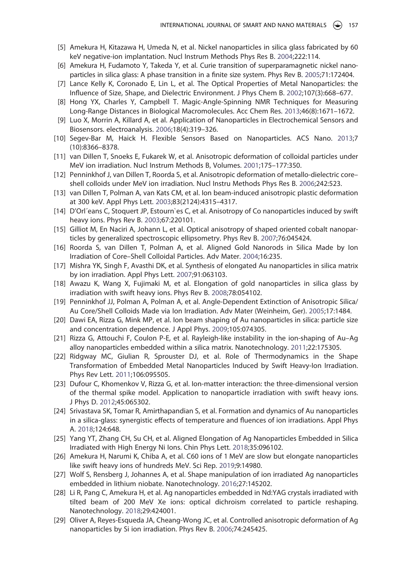- [5] Amekura H, Kitazawa H, Umeda N, et al. Nickel nanoparticles in silica glass fabricated by 60 keV negative-ion implantation. Nucl Instrum Methods Phys Res B. 2004;222:114.
- <span id="page-11-0"></span>[6] Amekura H, Fudamoto Y, Takeda Y, et al. Curie transition of superparamagnetic nickel nanoparticles in silica glass: A phase transition in a finite size system. Phys Rev B. [2005;](#page-2-0)71:172404.
- <span id="page-11-1"></span>[7] Lance Kelly K, Coronado E, Lin L, et al. The Optical Properties of Metal Nanoparticles: the Influence of Size, Shape, and Dielectric Environment. J Phys Chem B. [2002](#page-2-1);107(3):668–677.
- <span id="page-11-2"></span>[8] Hong YX, Charles Y, Campbell T. Magic-Angle-Spinning NMR Techniques for Measuring Long-Range Distances in Biological Macromolecules. Acc Chem Res. [2013;](#page-2-2)46(8):1671–1672.
- <span id="page-11-3"></span>[9] Luo X, Morrin A, Killard A, et al. Application of Nanoparticles in Electrochemical Sensors and Biosensors. electroanalysis. [2006;](#page-2-2)18(4):319–326.
- <span id="page-11-4"></span>[10] Segev-Bar M, Haick H. Flexible Sensors Based on Nanoparticles. ACS Nano. [2013;](#page-2-3)7 (10):8366–8378.
- <span id="page-11-5"></span>[11] van Dillen T, Snoeks E, Fukarek W, et al. Anisotropic deformation of colloidal particles under MeV ion irradiation. Nucl Instrum Methods B, Volumes. [2001](#page-2-3);175–177:350.
- <span id="page-11-6"></span>[12] Penninkhof J, van Dillen T, Roorda S, et al. Anisotropic deformation of metallo-dielectric core– shell colloids under MeV ion irradiation. Nucl Instru Methods Phys Res B. [2006;](#page-2-4)242:523.
- <span id="page-11-7"></span>[13] van Dillen T, Polman A, van Kats CM, et al. Ion beam-induced anisotropic plastic deformation at 300 keV. Appl Phys Lett. [2003;](#page-2-4)83(2124):4315–4317.
- <span id="page-11-8"></span>[14] D'Orl´eans C, Stoquert JP, Estourn`es C, et al. Anisotropy of Co nanoparticles induced by swift heavy ions. Phys Rev B. [2003](#page-2-5);67:220101.
- <span id="page-11-9"></span>[15] Gilliot M, En Naciri A, Johann L, et al. Optical anisotropy of shaped oriented cobalt nanoparticles by generalized spectroscopic ellipsometry. Phys Rev B. [2007](#page-2-5);76:045424.
- <span id="page-11-10"></span>[16] Roorda S, van Dillen T, Polman A, et al. Aligned Gold Nanorods in Silica Made by Ion Irradiation of Core–Shell Colloidal Particles. Adv Mater. [2004](#page-2-5);16:235.
- [17] Mishra YK, Singh F, Avasthi DK, et al. Synthesis of elongated Au nanoparticles in silica matrix by ion irradiation. Appl Phys Lett. 2007;91:063103.
- [18] Awazu K, Wang X, Fujimaki M, et al. Elongation of gold nanoparticles in silica glass by irradiation with swift heavy ions. Phys Rev B. 2008;78:054102.
- [19] Penninkhof JJ, Polman A, Polman A, et al. Angle-Dependent Extinction of Anisotropic Silica/ Au Core/Shell Colloids Made via Ion Irradiation. Adv Mater (Weinheim, Ger). 2005;17:1484.
- [20] Dawi EA, Rizza G, Mink MP, et al. Ion beam shaping of Au nanoparticles in silica: particle size and concentration dependence. J Appl Phys. 2009;105:074305.
- <span id="page-11-13"></span>[21] Rizza G, Attouchi F, Coulon P-E, et al. Rayleigh-like instability in the ion-shaping of Au–Ag alloy nanoparticles embedded within a silica matrix. Nanotechnology. [2011](#page-8-0);22:175305.
- [22] Ridgway MC, Giulian R, Sprouster DJ, et al. Role of Thermodynamics in the Shape Transformation of Embedded Metal Nanoparticles Induced by Swift Heavy-Ion Irradiation. Phys Rev Lett. 2011;106:095505.
- [23] Dufour C, Khomenkov V, Rizza G, et al. Ion-matter interaction: the three-dimensional version of the thermal spike model. Application to nanoparticle irradiation with swift heavy ions. J Phys D. 2012;45:065302.
- [24] Srivastava SK, Tomar R, Amirthapandian S, et al. Formation and dynamics of Au nanoparticles in a silica-glass: synergistic effects of temperature and fluences of ion irradiations. Appl Phys A. 2018;124:648.
- [25] Yang YT, Zhang CH, Su CH, et al. Aligned Elongation of Ag Nanoparticles Embedded in Silica Irradiated with High Energy Ni Ions. Chin Phys Lett. 2018;35:096102.
- <span id="page-11-11"></span>[26] Amekura H, Narumi K, Chiba A, et al. C60 ions of 1 MeV are slow but elongate nanoparticles like swift heavy ions of hundreds MeV. Sci Rep. [2019;](#page-2-5)9:14980.
- <span id="page-11-12"></span>[27] Wolf S, Rensberg J, Johannes A, et al. Shape manipulation of ion irradiated Ag nanoparticles embedded in lithium niobate. Nanotechnology. [2016](#page-2-6);27:145202.
- [28] Li R, Pang C, Amekura H, et al. Ag nanoparticles embedded in Nd:YAG crystals irradiated with tilted beam of 200 MeV Xe ions: optical dichroism correlated to particle reshaping. Nanotechnology. 2018;29:424001.
- [29] Oliver A, Reyes-Esqueda JA, Cheang-Wong JC, et al. Controlled anisotropic deformation of Ag nanoparticles by Si ion irradiation. Phys Rev B. 2006;74:245425.